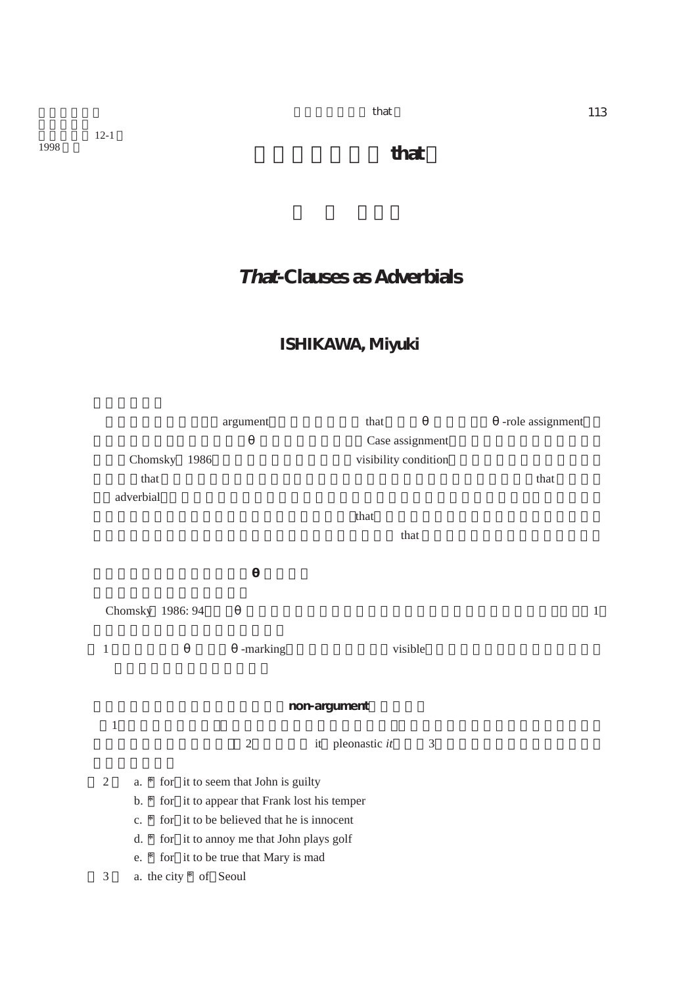12-1<br>1998

 $\frac{113}{2}$ 

# **That-Clauses as Adverbials**

## **ISHIKAWA, Miyuki**

|              |                                                                                             | argument       | that                  | -role assignment |  |  |
|--------------|---------------------------------------------------------------------------------------------|----------------|-----------------------|------------------|--|--|
|              |                                                                                             |                | Case assignment       |                  |  |  |
|              | Chomsky 1986                                                                                |                | visibility condition  |                  |  |  |
|              | that                                                                                        |                |                       | that             |  |  |
|              | adverbial                                                                                   |                |                       |                  |  |  |
|              |                                                                                             |                | that                  |                  |  |  |
|              |                                                                                             |                | that                  |                  |  |  |
|              |                                                                                             |                |                       |                  |  |  |
|              |                                                                                             |                |                       |                  |  |  |
|              |                                                                                             |                |                       |                  |  |  |
|              | Chomsky 1986: 94                                                                            |                |                       | $\mathbf{1}$     |  |  |
|              |                                                                                             |                |                       |                  |  |  |
| 1            |                                                                                             | -marking       | visible               |                  |  |  |
|              |                                                                                             |                |                       |                  |  |  |
|              |                                                                                             |                |                       |                  |  |  |
| non-argument |                                                                                             |                |                       |                  |  |  |
| $\mathbf{1}$ |                                                                                             |                |                       |                  |  |  |
|              |                                                                                             | $\mathfrak{2}$ | it pleonastic it<br>3 |                  |  |  |
| 2            |                                                                                             |                |                       |                  |  |  |
|              | a. * for it to seem that John is guilty<br>b. * for it to appear that Frank lost his temper |                |                       |                  |  |  |
|              | c. * for it to be believed that he is innocent                                              |                |                       |                  |  |  |
|              |                                                                                             |                |                       |                  |  |  |
|              | d. * for it to annoy me that John plays golf<br>e. * for it to be true that Mary is mad     |                |                       |                  |  |  |
| 3            |                                                                                             |                |                       |                  |  |  |
|              | a. the city * of Seoul                                                                      |                |                       |                  |  |  |

 $\frac{1}{998}$  **that**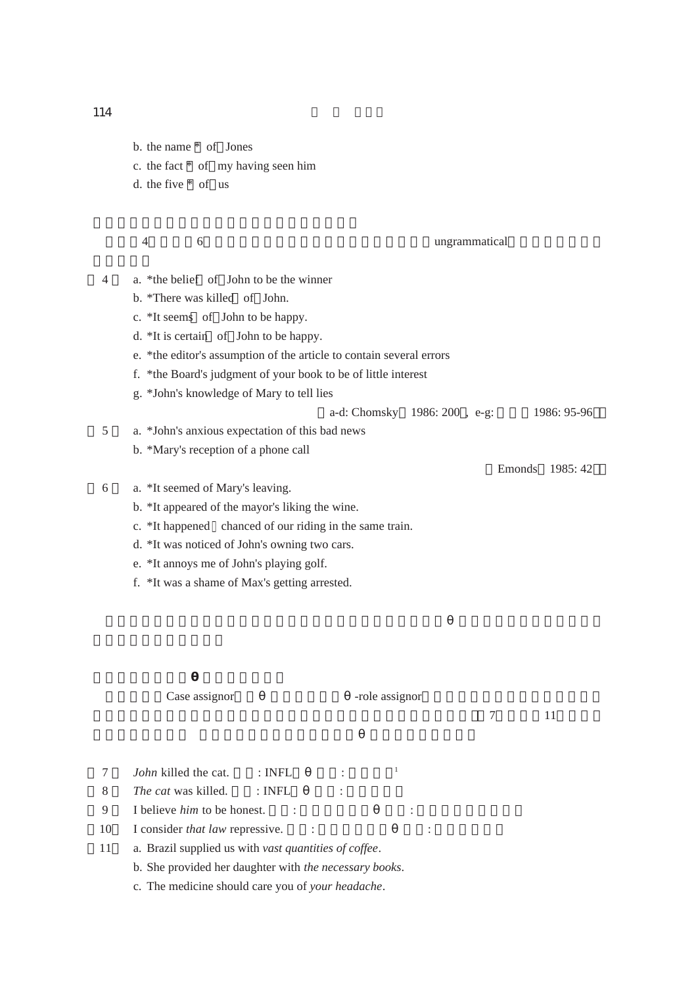b. the name \* of Jones c. the fact \* of my having seen him d. the five \* of us

4) 6<br>
4) 6<br>  $\frac{1}{2}$  (original)  $\frac{1}{2}$  (ungrammatical)

- 4 a. \*the belief of John to be the winner b. \*There was killed of John.
	- c. \*It seems of John to be happy.
	- d. \*It is certain of John to be happy.
	- e. \*the editor's assumption of the article to contain several errors
	- f. \*the Board's judgment of your book to be of little interest
	- g. \*John's knowledge of Mary to tell lies
	- a-d: Chomsky 1986: 200, e-g: 1986: 95-96
- 5 a. \*John's anxious expectation of this bad news
	- b. \*Mary's reception of a phone call
- 6 a. \*It seemed of Mary's leaving.
	- b. \*It appeared of the mayor's liking the wine.
	- c. \*It happened chanced of our riding in the same train.
	- d. \*It was noticed of John's owning two cars.
	- e. \*It annoys me of John's playing golf.
	- f. \*It was a shame of Max's getting arrested.

Case assignor The assignor

 $\frac{7}{11}$ 

Emonds 1985: 42

- 7 *John* killed the cat.  $\therefore$  INFL  $\qquad \qquad$ <sup>1</sup>
- 8 *The cat* was killed. : INFL :
- 9 I believe *him* to be honest. (A: the set of the set of the set of the set of the set of the set of the set of the set of the set of the set of the set of the set of the set of the set of the set of the set of the set of
- 10 I consider *that law* repressive.  $\cdot$  :
- 11 a. Brazil supplied us with *vast quantities of coffee*.
	- b. She provided her daughter with *the necessary books*.
	- c. The medicine should care you of *your headache*.

 $114$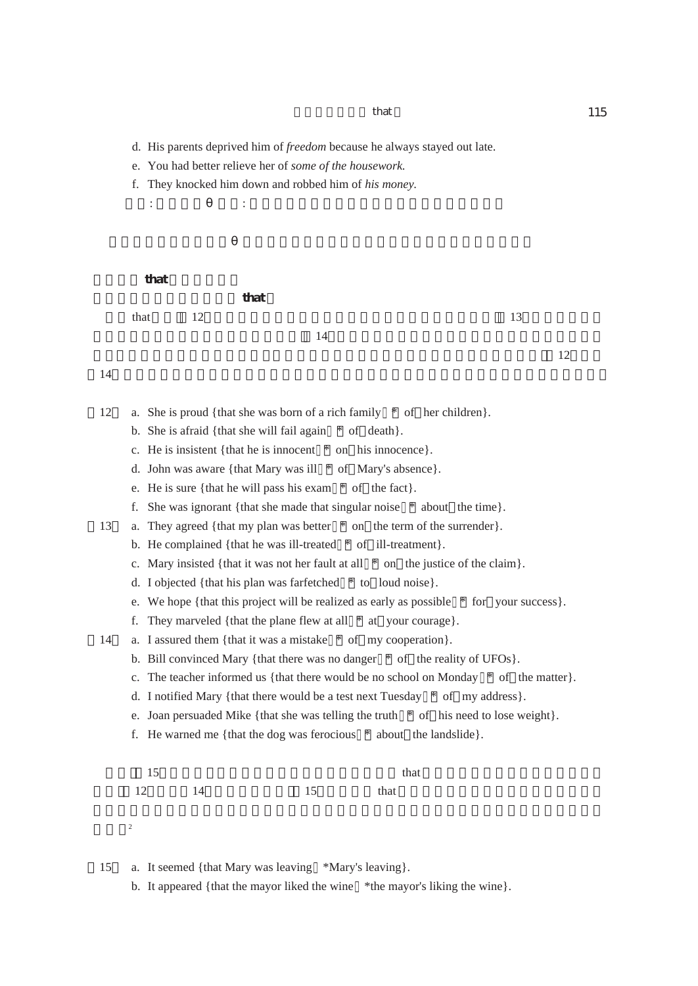d. His parents deprived him of *freedom* because he always stayed out late.

 $\mathcal{A}$  (d) defines the following definition of  $\mathcal{A}$  ,  $\mathcal{A}$  and  $\mathcal{A}$  (d) and  $\mathcal{A}$ 

- e. You had better relieve her of *some of the housework*.
- f. They knocked him down and robbed him of *his money*.

that

that  $\frac{12}{13}$  that  $\frac{12}{13}$  $14$ 

 $\overline{12}$ 

### $14$

- 12 a. She is proud {that she was born of a rich family \* of her children}.
	- b. She is afraid {that she will fail again \* of death}.
	- c. He is insistent {that he is innocent \* on his innocence}.
	- d. John was aware {that Mary was ill \* of Mary's absence}.
	- e. He is sure {that he will pass his exam \* of the fact}.
	- f. She was ignorant {that she made that singular noise \* about the time}.
- 13 a. They agreed {that my plan was better \* on the term of the surrender}.
	- b. He complained {that he was ill-treated \* of ill-treatment}.
	- c. Mary insisted {that it was not her fault at all \* on the justice of the claim}.
	- d. I objected {that his plan was farfetched \* to loud noise}.
	- e. We hope {that this project will be realized as early as possible \* for your success}.
	- f. They marveled {that the plane flew at all \* at your courage}.
- 14 a. I assured them {that it was a mistake \* of my cooperation}.
	- b. Bill convinced Mary {that there was no danger \* of the reality of UFOs}.
	- c. The teacher informed us {that there would be no school on Monday  $*$  of the matter}.
	- d. I notified Mary {that there would be a test next Tuesday  $*$  of my address}.
	- e. Joan persuaded Mike {that she was telling the truth  $*$  of his need to lose weight}.
	- f. He warned me {that the dog was ferocious \* about the landslide}.

|       |         | that |
|-------|---------|------|
| 12 14 | 15 that |      |

ある。<sup>2</sup>

15 a. It seemed {that Mary was leaving \*Mary's leaving}.

b. It appeared {that the mayor liked the wine \*the mayor's liking the wine}.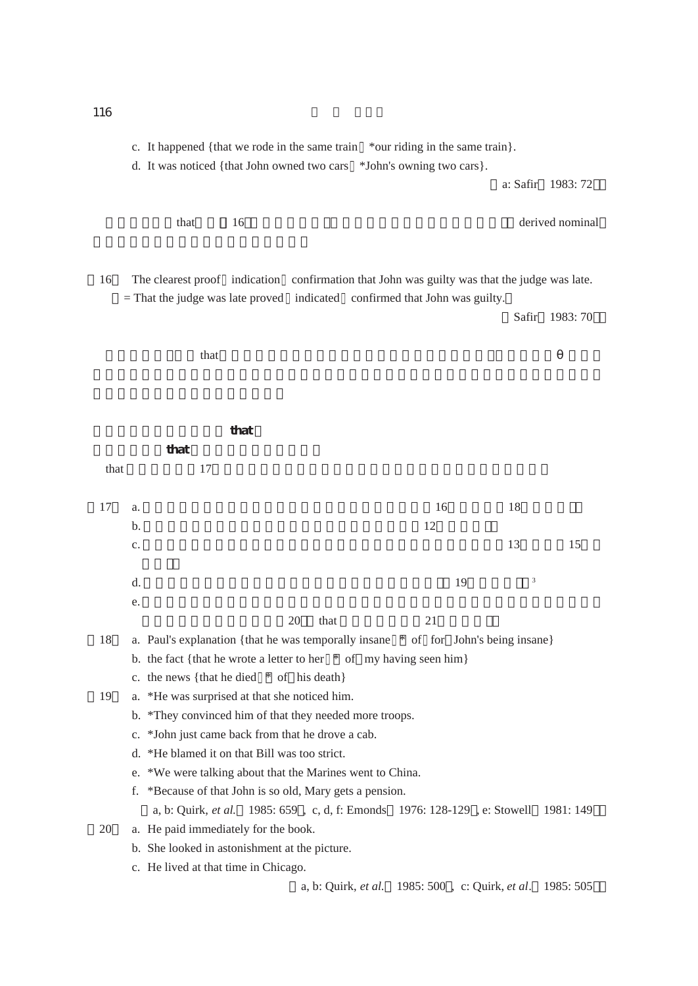c. It happened {that we rode in the same train \*our riding in the same train}.

d. It was noticed {that John owned two cars \*John's owning two cars}.

a: Safir 1983: 72

that 16  $16$ 

16 The clearest proof indication confirmation that John was guilty was that the judge was late. = That the judge was late proved indicated confirmed that John was guilty.

Safir 1983: 70

 $\theta$  that  $\theta$ 

| that<br>that<br>17<br>16<br>18<br>17<br>a.<br>12<br>b.<br>13<br>15<br>c.<br>3<br>19<br>d.<br>e.<br>20<br>that<br>21<br>18<br>a. Paul's explanation {that he was temporally insane * of for John's being insane}<br>b. the fact {that he wrote a letter to her $*$ of my having seen him}<br>c. the news {that he died $*$ of his death}<br>19<br>a. *He was surprised at that she noticed him.<br>b. *They convinced him of that they needed more troops.<br>c. *John just came back from that he drove a cab.<br>d. *He blamed it on that Bill was too strict. | that |  |  |  |  |
|-----------------------------------------------------------------------------------------------------------------------------------------------------------------------------------------------------------------------------------------------------------------------------------------------------------------------------------------------------------------------------------------------------------------------------------------------------------------------------------------------------------------------------------------------------------------|------|--|--|--|--|
|                                                                                                                                                                                                                                                                                                                                                                                                                                                                                                                                                                 |      |  |  |  |  |
|                                                                                                                                                                                                                                                                                                                                                                                                                                                                                                                                                                 |      |  |  |  |  |
|                                                                                                                                                                                                                                                                                                                                                                                                                                                                                                                                                                 |      |  |  |  |  |
|                                                                                                                                                                                                                                                                                                                                                                                                                                                                                                                                                                 |      |  |  |  |  |
|                                                                                                                                                                                                                                                                                                                                                                                                                                                                                                                                                                 |      |  |  |  |  |
|                                                                                                                                                                                                                                                                                                                                                                                                                                                                                                                                                                 |      |  |  |  |  |
|                                                                                                                                                                                                                                                                                                                                                                                                                                                                                                                                                                 |      |  |  |  |  |
|                                                                                                                                                                                                                                                                                                                                                                                                                                                                                                                                                                 |      |  |  |  |  |
|                                                                                                                                                                                                                                                                                                                                                                                                                                                                                                                                                                 |      |  |  |  |  |
|                                                                                                                                                                                                                                                                                                                                                                                                                                                                                                                                                                 |      |  |  |  |  |
|                                                                                                                                                                                                                                                                                                                                                                                                                                                                                                                                                                 |      |  |  |  |  |
|                                                                                                                                                                                                                                                                                                                                                                                                                                                                                                                                                                 |      |  |  |  |  |
|                                                                                                                                                                                                                                                                                                                                                                                                                                                                                                                                                                 |      |  |  |  |  |
|                                                                                                                                                                                                                                                                                                                                                                                                                                                                                                                                                                 |      |  |  |  |  |
|                                                                                                                                                                                                                                                                                                                                                                                                                                                                                                                                                                 |      |  |  |  |  |
|                                                                                                                                                                                                                                                                                                                                                                                                                                                                                                                                                                 |      |  |  |  |  |
|                                                                                                                                                                                                                                                                                                                                                                                                                                                                                                                                                                 |      |  |  |  |  |
| e. *We were talking about that the Marines went to China.                                                                                                                                                                                                                                                                                                                                                                                                                                                                                                       |      |  |  |  |  |
| f. *Because of that John is so old, Mary gets a pension.                                                                                                                                                                                                                                                                                                                                                                                                                                                                                                        |      |  |  |  |  |
| a, b: Quirk, <i>et al.</i> 1985: 659, c, d, f: Emonds 1976: 128-129, e: Stowell 1981: 149                                                                                                                                                                                                                                                                                                                                                                                                                                                                       |      |  |  |  |  |
| 20<br>a. He paid immediately for the book.                                                                                                                                                                                                                                                                                                                                                                                                                                                                                                                      |      |  |  |  |  |
| b. She looked in astonishment at the picture.                                                                                                                                                                                                                                                                                                                                                                                                                                                                                                                   |      |  |  |  |  |
| c. He lived at that time in Chicago.                                                                                                                                                                                                                                                                                                                                                                                                                                                                                                                            |      |  |  |  |  |
| a, b: Quirk, et al. 1985: 500, c: Quirk, et al. 1985: 505                                                                                                                                                                                                                                                                                                                                                                                                                                                                                                       |      |  |  |  |  |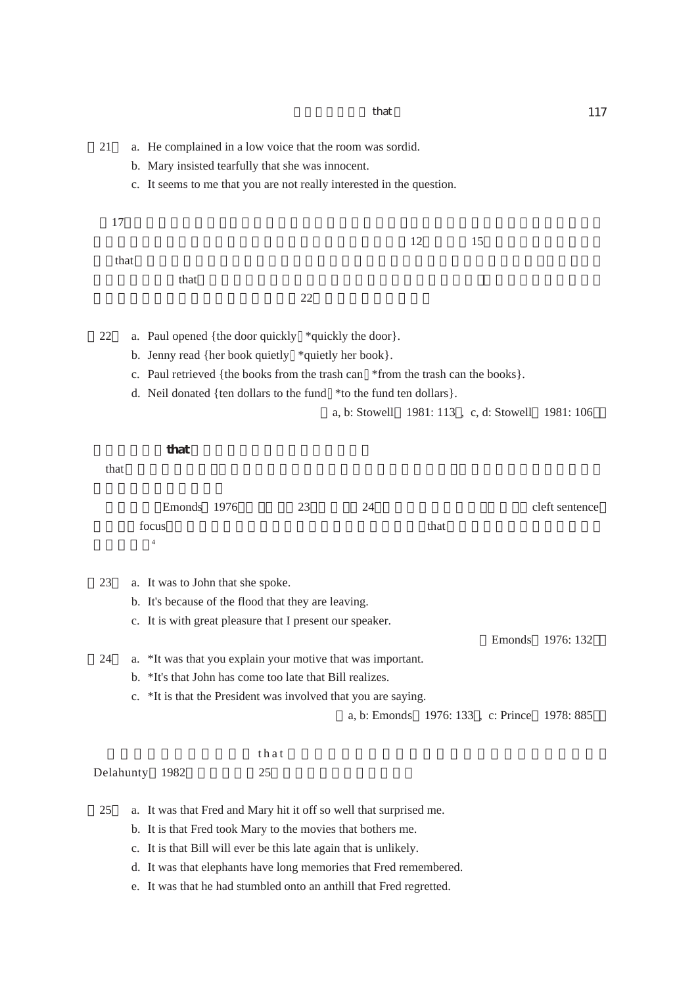21 a. He complained in a low voice that the room was sordid.

b. Mary insisted tearfully that she was innocent.

c. It seems to me that you are not really interested in the question.

 $17$ 

 $that$ 

 $\theta$  that  $\theta$ 

 $22$ 

22 a. Paul opened {the door quickly \*quickly the door}.

- b. Jenny read {her book quietly \*quietly her book}.
- c. Paul retrieved {the books from the trash can \*from the trash can the books}.

 $\overline{12}$  15

d. Neil donated {ten dollars to the fund \*to the fund ten dollars}.

a, b: Stowell 1981: 113 , c, d: Stowell 1981: 106

**3.2.2.that 節と前置詞句の見かけ上の相違点**

that  $\mathbf h$ 

| Emonds 1976 | 23 | 24<br>∽ |      | cleft sentence |
|-------------|----|---------|------|----------------|
| focus       |    |         | that |                |
|             |    |         |      |                |

23 a. It was to John that she spoke.

- b. It's because of the flood that they are leaving.
- c. It is with great pleasure that I present our speaker.

Emonds 1976: 132

- 24 a. \*It was that you explain your motive that was important.
	- b. \*It's that John has come too late that Bill realizes.
	- c. \*It is that the President was involved that you are saying.

a, b: Emonds 1976: 133 , c: Prince 1978: 885

 $\theta$  that  $\theta$ Delahunty 1982 25

25 a. It was that Fred and Mary hit it off so well that surprised me.

- b. It is that Fred took Mary to the movies that bothers me.
- c. It is that Bill will ever be this late again that is unlikely.

d. It was that elephants have long memories that Fred remembered.

e. It was that he had stumbled onto an anthill that Fred regretted.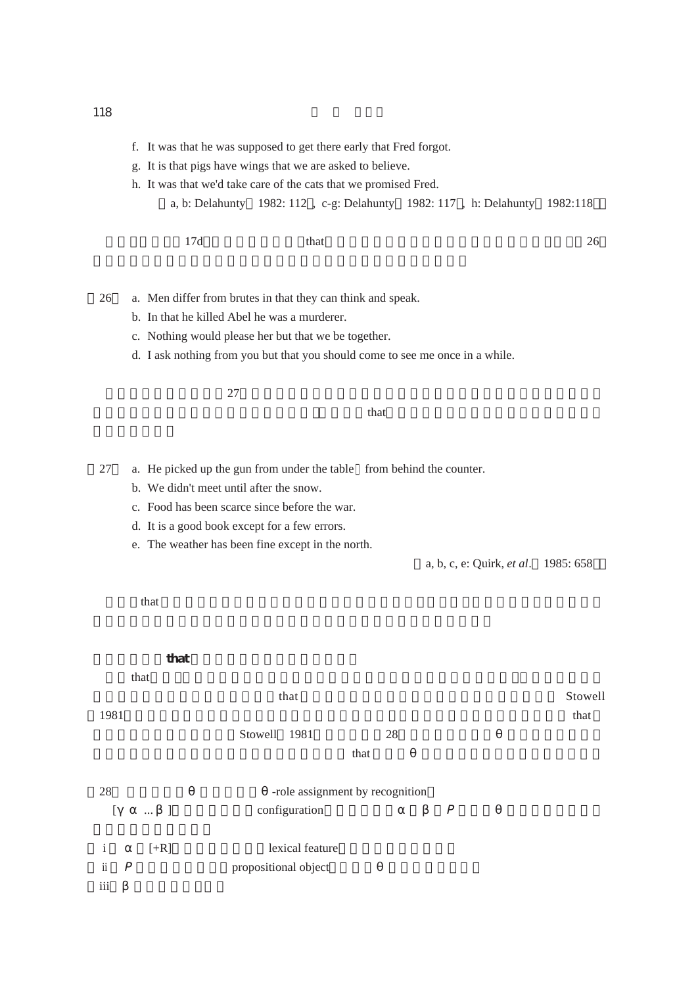- g. It is that pigs have wings that we are asked to believe.
- h. It was that we'd take care of the cats that we promised Fred.
	- a, b: Delahunty 1982: 112 , c-g: Delahunty 1982: 117 , h: Delahunty 1982:118
- $17d$  that  $26$
- 26 a. Men differ from brutes in that they can think and speak.
	- b. In that he killed Abel he was a murderer.
	- c. Nothing would please her but that we be together.
	- d. I ask nothing from you but that you should come to see me once in a while.

 $27$ 

 $\theta$  that the interval that the interval that is the interval that the interval that is the interval that is the interval that is the interval that is the interval that is the interval that is the interval that is the int

- 27 a. He picked up the gun from under the table from behind the counter.
	- b. We didn't meet until after the snow.
	- c. Food has been scarce since before the war.
	- d. It is a good book except for a few errors.
	- e. The weather has been fine except in the north.

a, b, c, e: Quirk, *et al*. 1985: 658

 $\theta$  that  $\theta$ 

|                  | that               |                                 |         |
|------------------|--------------------|---------------------------------|---------|
|                  | that               |                                 |         |
|                  |                    | that                            | Stowell |
| 1981             |                    |                                 | that    |
|                  |                    | Stowell<br>1981<br>28           |         |
|                  |                    | that                            |         |
| 28               |                    | -role assignment by recognition |         |
| $\overline{[}$   | $\Box$<br>$\cdots$ | configuration                   |         |
| $\mathbf{i}$     | $[+R]$             | lexical feature                 |         |
| $\ddot{\rm ii}$  |                    | propositional object            |         |
| $\overline{111}$ |                    |                                 |         |

### 118  $\blacksquare$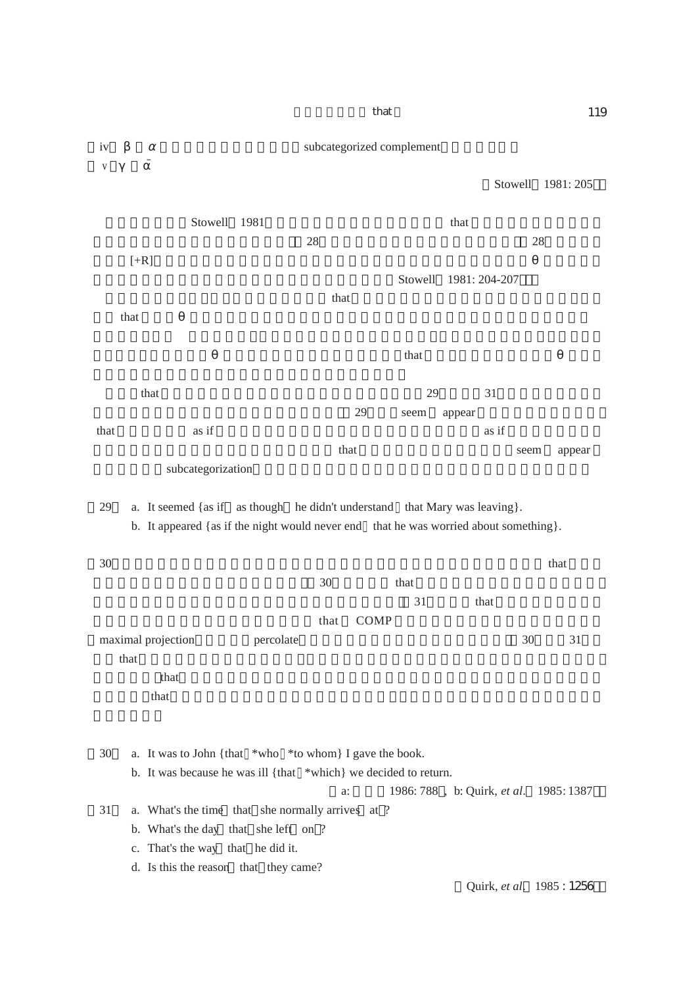that 119 iv subcategorized complement  $\bar{V}$ Stowell 1981: 205 Stowell 1981 that that the stowell stowell is the stowell that that that the store that that the store is the store of the store is the store of the store in the store is the store of the store in the store is the store in  $28$  28  $[+R]$ Stowell 1981: 204-207  $\alpha$  that  $\alpha$  $\theta$  that  $\theta$ that  $\theta$ that  $29$  31 29 seem appear  $\frac{1}{10}$  as if  $\frac{1}{10}$  as if  $\frac{1}{10}$  as if  $\frac{1}{10}$ that that seem appear subcategorization 29 a. It seemed {as if as though he didn't understand that Mary was leaving}. b. It appeared {as if the night would never end that he was worried about something}.  $30$  that  $\frac{1}{\sqrt{3}}$  $30$  that  $31$  that  $\theta$  $\alpha$  that COMP maximal projection percolate  $\qquad$   $\qquad$  30  $\qquad$  31 that  $\mathbb{R}$  $\theta$  that  $\theta$ that that the set up that the set up that the set up that the set up that the set up that the set up that the set up that the set up that the set up that the set up that the set up that the set up that the set up that the 30 a. It was to John {that \*who \*to whom} I gave the book. b. It was because he was ill {that \*which} we decided to return. a: 1986: 788, b: Quirk, *et al.* 1985: 1387 31 a. What's the time that she normally arrives at ? b. What's the day that she left on ? c. That's the way that he did it. d. Is this the reason that they came? Quirk, *et al*. 1985 : 1256)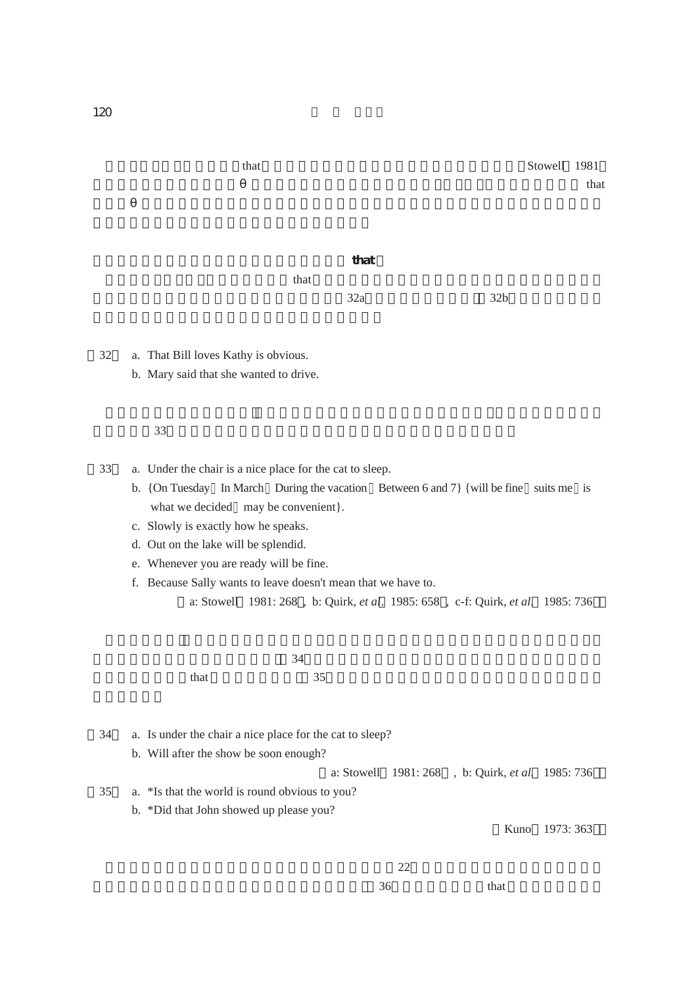that  
that  

$$
32a
$$
 32b

- 32 a. That Bill loves Kathy is obvious. b. Mary said that she wanted to drive.
- $33$

33 a. Under the chair is a nice place for the cat to sleep.

b. {On Tuesday In March During the vacation Between 6 and 7} {will be fine suits me is what we decided may be convenient}.

 $34$ 

- c. Slowly is exactly how he speaks.
- d. Out on the lake will be splendid.
- e. Whenever you are ready will be fine.
- f. Because Sally wants to leave doesn't mean that we have to.

a: Stowell 1981: 268 , b: Quirk, *et al*. 1985: 658 , c-f: Quirk, *et al*. 1985: 736

 $\text{that}$  and  $\text{at least}$  and  $\text{at least}$  and  $\text{at least}$  and  $\text{at least}$  and  $\text{at least}$  and  $\text{at least}$  and  $\text{at least}$  and  $\text{at least}$  and  $\text{at least}$  and  $\text{at least}$  and  $\text{at least}$  and  $\text{at least}$  and  $\text{at least}$  and  $\text{at least}$  and  $\text{at least}$  and  $\text{at least}$  and

34 a. Is under the chair a nice place for the cat to sleep?

b. Will after the show be soon enough?

a: Stowell 1981: 268 , b: Quirk, *et al*. 1985: 736

- 35 a. \*Is that the world is round obvious to you?
	- b. \*Did that John showed up please you?

Kuno 1973: 363

 $36$  that  $36$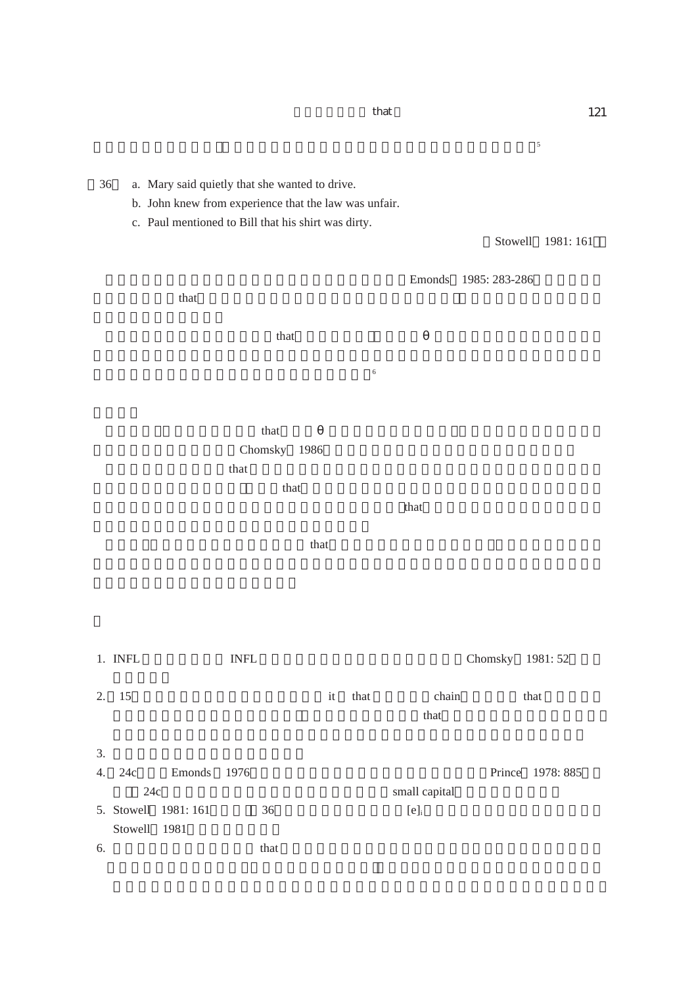$\overline{\phantom{a}}$ 36 a. Mary said quietly that she wanted to drive. b. John knew from experience that the law was unfair. c. Paul mentioned to Bill that his shirt was dirty. Stowell 1981: 161 Emonds 1985: 283-286  $\theta$  that that  $\frac{1}{\pi}$  that  $\frac{1}{\pi}$  $6<sub>0</sub>$  $\alpha$  that  $\alpha$ Chomsky 1986  $\tau$  that  $\tau$  $\mathbf t$  that  $\mathbf t$  $\alpha$  that  $\alpha$  $\n *that*\n$ 1. INFL INFL INFL **INFL** Chomsky 1981: 52 2. 15 it that  $\frac{1}{2}$  that  $\frac{1}{2}$  that  $\frac{1}{2}$  that  $\frac{1}{2}$  that  $\frac{1}{2}$  $\eta$  that that  $3.$ 4. 24c Emonds 1976 Prince 1978: 885 24c) Small capital Small capital 5. Stowell 1981: 161  $36$  [e]<sub>i</sub> Stowell 1981 6. 主語節・目的語節としてのthat 節の位置づけに関しては、本稿3.3.節で議論したような

 $\theta$  that  $\theta$  121